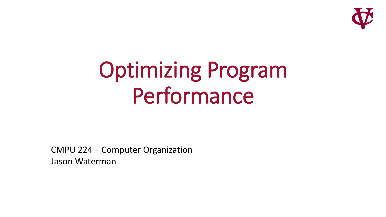

# Optimizing Program Performance

CMPU 224 – Computer Organization Jason Waterman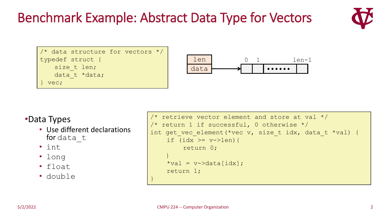#### Benchmark Example: Abstract Data Type for Vectors



```
/* data structure for vectors */
typedef struct {
   size t len;
   data t *data;
} vec;
```


#### •Data Types

- Use different declarations for data t
- int
- long
- float
- double

```
\sqrt{\tau} retrieve vector element and store at val \tau/2/* return 1 if successful, 0 otherwise */int get vec element(*vec v, size t idx, data t *val) {
    if (idx >= v->len) {
         return 0;
    }
    *val = v - >data[idx];
    return 1;
}
```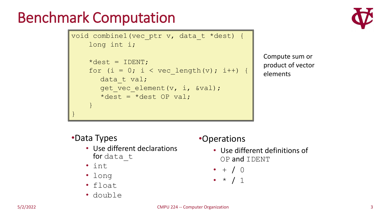# Benchmark Computation

```
void combine1(vec_ptr v, data_t *dest) {
    long int i;
    \stardest = IDENT;
    for (i = 0; i < vec length(v); i++) {
       data t val;
       get vec element(v, i, &val);
       *dest = *dest OP val;
    }
}
```


Compute sum or product of vector elements

#### •Data Types

- Use different declarations for data t
- int
- long
- float
- double

#### •Operations

- Use different definitions of OP and IDENT
- $+ / 0$
- $\bullet \; * \; / \; 1$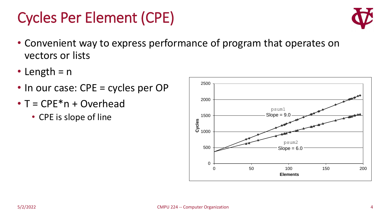### Cycles Per Element (CPE)

- Convenient way to express performance of program that operates on vectors or lists
- Length  $= n$
- In our case: CPE = cycles per OP
- $\bullet$  T = CPE $*$ n + Overhead
	- CPE is slope of line



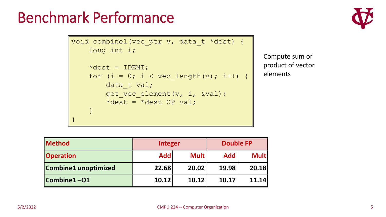#### Benchmark Performance

```
void combine1(vec_ptr v, data_t *dest) {
    long int i;
    \stardest = IDENT;
    for (i = 0; i < vec length(v); i++) {
        data t val;
        get vec element(v, i, &val);
        *dest = *dest OP val;
    }
}
```


Compute sum or product of vector elements

| <b>Method</b>               | <b>Integer</b> |             | <b>Double FP</b> |             |  |
|-----------------------------|----------------|-------------|------------------|-------------|--|
| <b>Operation</b>            | <b>Add</b>     | <b>Mult</b> | <b>Add</b>       | <b>Mult</b> |  |
| <b>Combine1</b> unoptimized | 22.68          | 20.02       | 19.98            | 20.18       |  |
| Combine1-01                 | 10.12          | 10.12       | 10.17            | 11.14       |  |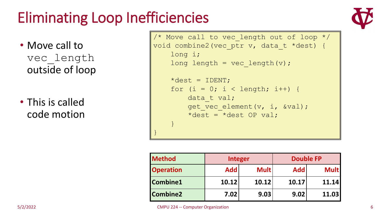# Eliminating Loop Inefficiencies

- Move call to vec\_length outside of loop
- This is called code motion

```
/* Move call to vec length out of loop */
void combine2(vec_ptr v, data_t *dest) {
    long i;
    long length = vec length(v);
    \stardest = IDENT;
    for (i = 0; i < length; i++) {
        data t val;
        get vec element(v, i, \&val);
        *dest = *dest OP val;
    }
}
```

| <b>Method</b>    | <b>Integer</b>            |       |            | <b>Double FP</b> |
|------------------|---------------------------|-------|------------|------------------|
| <b>Operation</b> | <b>Mult</b><br><b>Add</b> |       | <b>Add</b> | <b>Mult</b>      |
| Combine1         | 10.12                     | 10.12 | 10.17      | 11.14            |
| Combine2         | 7.02                      | 9.03  | 9.02       | 11.03            |

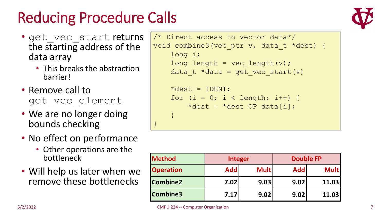# Reducing Procedure Calls

- get vec start returns the starting address of the data array
	- This breaks the abstraction barrier!
- Remove call to get vec element
- We are no longer doing bounds checking
- No effect on performance
	- Other operations are the bottleneck
- Will help us later when we remove these bottlenecks

```
/* Direct access to vector data*/
void combine3(vec ptr v, data t *dest) {
    long i;
    long length = vec length(v);
    data t *data = get vec start(v)
     \stardest = IDENT;
    for (i = 0; i < length; i++) {
```
\*dest = \*dest OP data[i];

| <b>Method</b>    | <b>Integer</b>            |      | <b>Double FP</b>  |             |
|------------------|---------------------------|------|-------------------|-------------|
| <b>Operation</b> | <b>Add</b><br><b>Mult</b> |      | <b>Add</b>        | <b>Mult</b> |
| <b>Combine2</b>  | 7.02 <sub>1</sub>         | 9.03 | 9.02 <sub>1</sub> | 11.03       |
| <b>Combine3</b>  | 7.17                      | 9.02 | 9.02              | 11.03       |

}

}

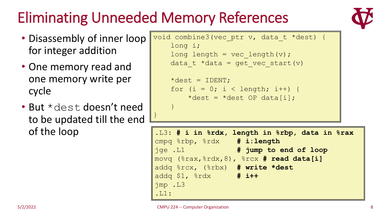# Eliminating Unneeded Memory References

}

}

- Disassembly of inner loop for integer addition
- One memory read and one memory write per cycle
- But \*dest doesn't need to be updated till the end of the loop

```
void combine3(vec ptr v, data t *dest) {
    long i;
    long length = vec length(v);
    data t *data = get vec start(v)
    \stardest = IDENT;
    for (i = 0; i < length; i++) {
```
\*dest = \*dest OP data[i];

```
.L3: # i in %rdx, length in %rbp, data in %rax
cmpq %rbp, %rdx # i:length
jge .L1 # jump to end of loop
movq (%rax,%rdx,8), %rcx # read data[i]
addq %rcx, (%rbx) # write *dest
addq $1, %rdx # i++
jmp .L3
.L1:
```
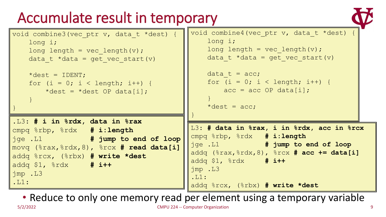# Accumulate result in temporary



```
void combine4(vec ptr v, data t *dest) {
                                              long i;
                                              long length = vec length(v);
                                              data t *data = get vec start(v)
                                              data t = acc;for (i = 0; i < length; i++) {
                                                  acc = acc OP data[i];}
                                              *dest = acc;
                                          }
void combine3(vec_ptr v, data_t *dest) {
   long i;
   long length = vec length(v);
   data t *data = get vec start(v)
   \stardest = IDENT;
   for (i = 0; i < length; i++) {
       *dest = *dest OP data[i];
    }
}
                                          L3: # data in %rax, i in %rdx, acc in %rcx
                                          cmpq %rbp, %rdx # i:length
                                          jge .L1 # jump to end of loop
                                          addq (%rax,%rdx,8), %rcx # acc += data[i]
                                          addq $1, %rdx # i++
                                          jmp .L3
                                          .L1:
                                          addq %rcx, (%rbx) # write *dest
.L3: # i in %rdx, data in %rax
cmpq %rbp, %rdx # i:length
jge .L1 # jump to end of loop
movq (%rax,%rdx,8), %rcx # read data[i]
addq %rcx, (%rbx) # write *dest
addq $1, %rdx # i++
jmp .L3
.L1:
```
• Reduce to only one memory read per element using a temporary variable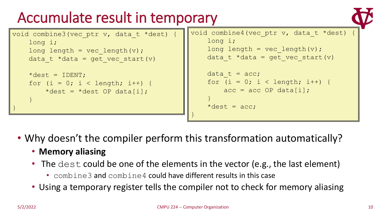# Accumulate result in temporary



| void combine3 (vec ptr v, data t *dest) {                                       | void combine4 (vec ptr v, data t *dest) {                                                        |
|---------------------------------------------------------------------------------|--------------------------------------------------------------------------------------------------|
| $long$ $i$ ;                                                                    | $long$ $i$ ;                                                                                     |
| $long$ length = vec length (v) ;                                                | $long$ length = vec length(v);                                                                   |
| data t *data = get vec start $(v)$                                              | data t *data = get vec start $(v)$                                                               |
| *dest = IDENT;<br>for $(i = 0; i < length; i++)$ {<br>*dest = *dest OP data[i]; | data $t = acc;$<br>for $(i = 0; i < length; i++)$ {<br>$acc = acc OP data[i];$<br>*dest = $acc;$ |

- Why doesn't the compiler perform this transformation automatically?
	- **Memory aliasing**
	- The dest could be one of the elements in the vector (e.g., the last element)
		- combine3 and combine4 could have different results in this case
	- Using a temporary register tells the compiler not to check for memory aliasing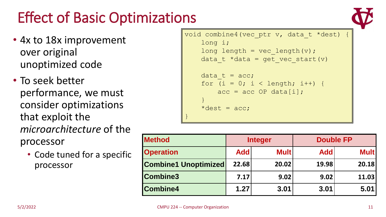# Effect of Basic Optimizations

- 4x to 18x improvement over original unoptimized code
- To seek better performance, we must consider optimizations that exploit the *microarchitecture* of the processor
	- Code tuned for a specific processor

```
void combine4(vec ptr v, data t *dest) {
    long i;
    long length = vec length(v);
    data t *data = get vec start(v)
    data t = acc;for (i = 0; i < length; i++) {
        acc = acc OP data[i];}
    *dest = acc;}
```

| <b>Method</b>               | <b>Integer</b> |             | <b>Double FP</b> |             |
|-----------------------------|----------------|-------------|------------------|-------------|
| <b>Operation</b>            | <b>Add</b>     | <b>Mult</b> | <b>Add</b>       | <b>Mult</b> |
| <b>Combine1 Unoptimized</b> | 22.68          | 20.02       | 19.98            | 20.18       |
| <b>Combine3</b>             | 7.17           | 9.02        | 9.02             | 11.03       |
| <b>Combine4</b>             | 1.27           | 3.01        | 3.01             | 5.01        |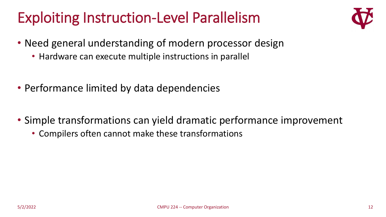### Exploiting Instruction-Level Parallelism



- Need general understanding of modern processor design
	- Hardware can execute multiple instructions in parallel
- Performance limited by data dependencies
- Simple transformations can yield dramatic performance improvement
	- Compilers often cannot make these transformations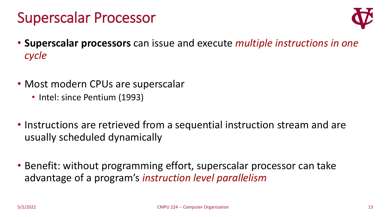#### Superscalar Processor



- **Superscalar processors** can issue and execute *multiple instructions in one cycle*
- Most modern CPUs are superscalar
	- Intel: since Pentium (1993)
- Instructions are retrieved from a sequential instruction stream and are usually scheduled dynamically
- Benefit: without programming effort, superscalar processor can take advantage of a program's *instruction level parallelism*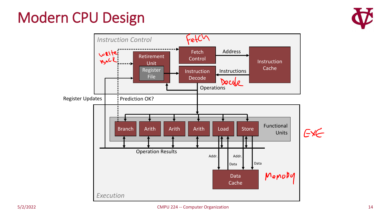### Modern CPU Design



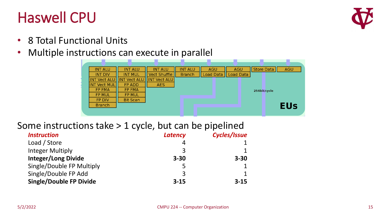#### Haswell CPU



- 8 Total Functional Units
- Multiple instructions can execute in parallel



#### Some instructions take > 1 cycle, but can be pipelined

| <b>Instruction</b>             | <b>Latency</b> | Cycles/Issue |
|--------------------------------|----------------|--------------|
| Load / Store                   |                |              |
| <b>Integer Multiply</b>        |                |              |
| <b>Integer/Long Divide</b>     | $3 - 30$       | $3 - 30$     |
| Single/Double FP Multiply      |                |              |
| Single/Double FP Add           | 3              | $\mathbf{1}$ |
| <b>Single/Double FP Divide</b> | $3 - 15$       | $3 - 15$     |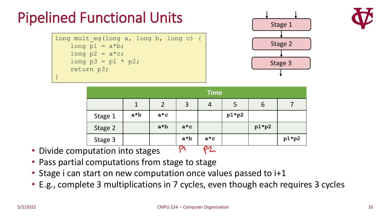# Pipelined Functional Units

long mult eg(long a, long b, long c) { long  $p1 = a * b$ ; long  $p2 = a * c$ ; long  $p3 = p1 * p2;$ return p3; }





|         | <b>Time</b> |             |                                   |                                         |         |         |         |
|---------|-------------|-------------|-----------------------------------|-----------------------------------------|---------|---------|---------|
|         |             |             | 3                                 | 4                                       | ל       | 6       |         |
| Stage 1 | $a*b$       | $a \star c$ |                                   |                                         | $p1*p2$ |         |         |
| Stage 2 |             | $a*b$       | $a \star c$                       |                                         |         | $p1*p2$ |         |
| Stage 3 |             |             | $a*b$<br>$\overline{\phantom{a}}$ | $a \star c$<br>$\overline{\phantom{a}}$ |         |         | $p1*p2$ |

- Divide computation into stages  $P^1$   $P^2$
- Pass partial computations from stage to stage
- Stage i can start on new computation once values passed to i+1
- E.g., complete 3 multiplications in 7 cycles, even though each requires 3 cycles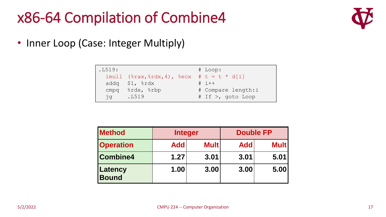#### x86-64 Compilation of Combine4



• Inner Loop (Case: Integer Multiply)

| .L519:      |                                                                   | $#$ Loop:          |
|-------------|-------------------------------------------------------------------|--------------------|
|             | $imull$ ( $\frac{2}{3}rax, \frac{2}{3}rdx, 4$ ), $\frac{2}{3}ecx$ | # t = t * d[i]     |
|             | addq $$1,$ $$rdx$                                                 | $\#$ i++           |
| cmpg        | %rdx, %rbp                                                        | # Compare length:i |
| $\exists$ a | .L519                                                             | # If >, qoto Loop  |

| <b>Method</b>           | <b>Integer</b> |             |            |             | <b>Double FP</b> |  |
|-------------------------|----------------|-------------|------------|-------------|------------------|--|
| <b>Operation</b>        | <b>Add</b>     | <b>Mult</b> | <b>Add</b> | <b>Mult</b> |                  |  |
| <b>Combine4</b>         | 1.27           | 3.01        | 3.01       | 5.01        |                  |  |
| Latency<br><b>Bound</b> | 1.00           | 3.00        | 3.00       | 5.00        |                  |  |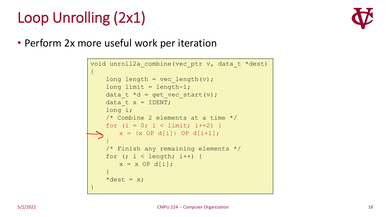# Loop Unrolling (2x1)



• Perform 2x more useful work per iteration

```
void unroll2a_combine(vec_ptr v, data_t *dest)
{
    long length = vec length(v);
    long limit = length-1;
    data t *d = get vec start(v);
    data t x = 1DENT;
    long i;
    /* Combine 2 elements at a time */
    for (i = 0; i < 1 imit; i+=2 {
       x = (x \t{OP} d[i]) \t{OP} d[i+1];}
    /* Finish any remaining elements */
    for (i \ i < length; i++) {
       x = x OP d[i];
    }
    *dest = x;
}
```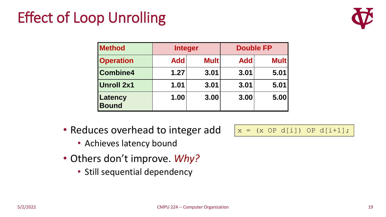# Effect of Loop Unrolling



| <b>Method</b>           | <b>Integer</b> |             | <b>Double FP</b> |             |
|-------------------------|----------------|-------------|------------------|-------------|
| <b>Operation</b>        | <b>Add</b>     | <b>Mult</b> | <b>Add</b>       | <b>Mult</b> |
| Combine4                | 1.27           | 3.01        | 3.01             | 5.01        |
| <b>Unroll 2x1</b>       | 1.01           | 3.01        | 3.01             | 5.01        |
| Latency<br><b>Bound</b> | 1.00           | 3.00        | 3.00             | 5.00        |

- Reduces overhead to integer add
	- Achieves latency bound
- Others don't improve. *Why?*
	- Still sequential dependency

 $x = (x \t{OP} d[i]) \t{OP} d[i+1];$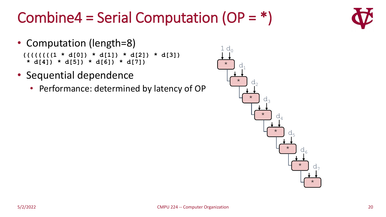# Combine4 = Serial Computation  $(OP = *)$

- Computation (length=8) **((((((((1 \* d[0]) \* d[1]) \* d[2]) \* d[3]) \* d[4]) \* d[5]) \* d[6]) \* d[7])**
- Sequential dependence
	- Performance: determined by latency of OP



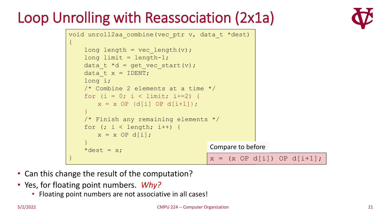# Loop Unrolling with Reassociation (2x1a)





- Can this change the result of the computation?
- Yes, for floating point numbers. *Why?*
	- Floating point numbers are not associative in all cases!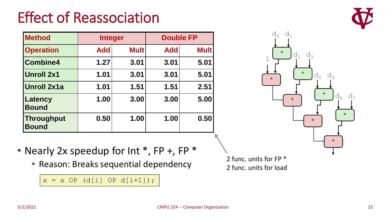# Effect of Reassociation



| <b>Method</b>              | <b>Integer</b> |             |            | <b>Double FP</b> |
|----------------------------|----------------|-------------|------------|------------------|
| <b>Operation</b>           | <b>Add</b>     | <b>Mult</b> | <b>Add</b> | <b>Mult</b>      |
| <b>Combine4</b>            | 1.27           | 3.01        | 3.01       | 5.01             |
| <b>Unroll 2x1</b>          | 1.01           | 3.01        | 3.01       | 5.01             |
| <b>Unroll 2x1a</b>         | 1.01           | 1.51        | 1.51       | 2.51             |
| Latency<br><b>Bound</b>    | 1.00           | 3.00        | 3.00       | 5.00             |
| Throughput<br><b>Bound</b> | 0.50           | 1.00        | 1.00       | 0.50             |



- Nearly 2x speedup for Int \*, FP +, FP \*
	- Reason: Breaks sequential dependency

2 func. units for FP \* 2 func. units for load

 $x = x$  OP (d[i] OP d[i+1]);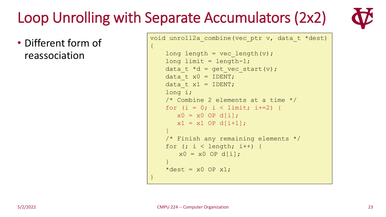# Loop Unrolling with Separate Accumulators (2x2)

 $\{$ 

}

• Different form of reassociation

void unroll2a combine(vec ptr v, data t \*dest)

```
long length = vec length(v);
long limit = length-1;
data t *d = qet vec start(v);
data t x0 = 1DENT;
data t x1 = IDENT;long i;
/* Combine 2 elements at a time */
for (i = 0; i < 1imit; i+=2) {
  x0 = x0 OP d[i];
  x1 = x1 OP d[i+1];
}
/* Finish any remaining elements */
for (j \ i < length; i++) {
   x0 = x0 OP d[i];
}
*dest = x0 OP x1;
```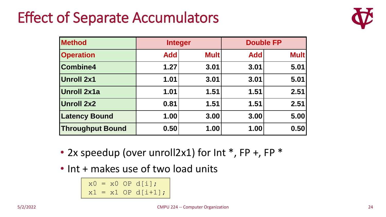### Effect of Separate Accumulators



| <b>Method</b>           | <b>Integer</b> |             |            | <b>Double FP</b> |
|-------------------------|----------------|-------------|------------|------------------|
| <b>Operation</b>        | <b>Add</b>     | <b>Mult</b> | <b>Add</b> | <b>Mult</b>      |
| <b>Combine4</b>         | 1.27           | 3.01        | 3.01       | 5.01             |
| <b>Unroll 2x1</b>       | 1.01           | 3.01        | 3.01       | 5.01             |
| <b>Unroll 2x1a</b>      | 1.01           | 1.51        | 1.51       | 2.51             |
| <b>Unroll 2x2</b>       | 0.81           | 1.51        | 1.51       | 2.51             |
| <b>Latency Bound</b>    | 1.00           | 3.00        | 3.00       | 5.00             |
| <b>Throughput Bound</b> | 0.50           | 1.00        | 1.00       | 0.50             |

- 2x speedup (over unroll2x1) for Int \*, FP +, FP \*
- Int + makes use of two load units

 $x0 = x0$  OP d[i];  $x1 = x1$  OP d[i+1];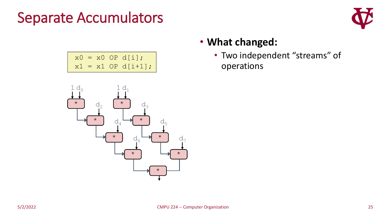#### Separate Accumulators

 $x0 = x0$  OP d[i];

 $x1 = x1$  OP d[i+1];



#### • **What changed:**

• Two independent "streams" of operations

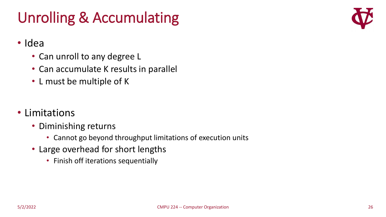# Unrolling & Accumulating



#### • Idea

- Can unroll to any degree L
- Can accumulate K results in parallel
- L must be multiple of K
- Limitations
	- Diminishing returns
		- Cannot go beyond throughput limitations of execution units
	- Large overhead for short lengths
		- Finish off iterations sequentially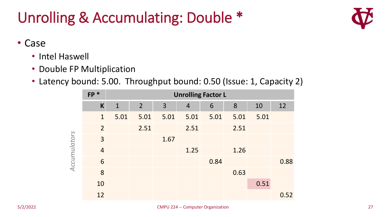# Unrolling & Accumulating: Double \*



- Case
	- Intel Haswell
	- Double FP Multiplication
	- Latency bound: 5.00. Throughput bound: 0.50 (Issue: 1, Capacity 2)

|              | $FP *$         | <b>Unrolling Factor L</b> |                |      |                |      |      |      |      |
|--------------|----------------|---------------------------|----------------|------|----------------|------|------|------|------|
|              | $\mathsf{K}$   | $\mathbf{1}$              | 2 <sup>2</sup> | 3    | $\overline{4}$ | 6    | 8    | 10   | 12   |
| Accumulators | $\mathbf{1}$   | 5.01                      | 5.01           | 5.01 | 5.01           | 5.01 | 5.01 | 5.01 |      |
|              | $\overline{2}$ |                           | 2.51           |      | 2.51           |      | 2.51 |      |      |
|              | $\overline{3}$ |                           |                | 1.67 |                |      |      |      |      |
|              | $\overline{4}$ |                           |                |      | 1.25           |      | 1.26 |      |      |
|              | 6              |                           |                |      |                | 0.84 |      |      | 0.88 |
|              | 8              |                           |                |      |                |      | 0.63 |      |      |
|              | 10             |                           |                |      |                |      |      | 0.51 |      |
|              | 12             |                           |                |      |                |      |      |      | 0.52 |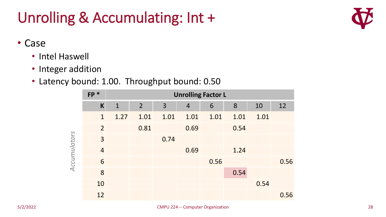# Unrolling & Accumulating: Int +



- Case
	- Intel Haswell
	- Integer addition
	- Latency bound: 1.00. Throughput bound: 0.50

|              | $FP *$         | <b>Unrolling Factor L</b> |                |      |                |      |      |      |      |
|--------------|----------------|---------------------------|----------------|------|----------------|------|------|------|------|
| Accumulators | $\mathsf{K}$   | $\mathbf{1}$              | $\overline{2}$ | 3    | $\overline{4}$ | 6    | 8    | 10   | 12   |
|              | $\mathbf{1}$   | 1.27                      | 1.01           | 1.01 | 1.01           | 1.01 | 1.01 | 1.01 |      |
|              | $\overline{2}$ |                           | 0.81           |      | 0.69           |      | 0.54 |      |      |
|              | $\overline{3}$ |                           |                | 0.74 |                |      |      |      |      |
|              | $\overline{4}$ |                           |                |      | 0.69           |      | 1.24 |      |      |
|              | 6              |                           |                |      |                | 0.56 |      |      | 0.56 |
|              | 8              |                           |                |      |                |      | 0.54 |      |      |
|              | 10             |                           |                |      |                |      |      | 0.54 |      |
|              | 12             |                           |                |      |                |      |      |      | 0.56 |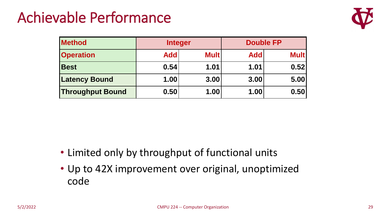### Achievable Performance



| <b>Method</b>           | <b>Integer</b> |             | <b>Double FP</b> |             |  |
|-------------------------|----------------|-------------|------------------|-------------|--|
| <b>Operation</b>        | <b>Add</b>     | <b>Mult</b> | <b>Add</b>       | <b>Mult</b> |  |
| <b>Best</b>             | 0.54           | 1.01        | 1.01             | 0.52        |  |
| <b>Latency Bound</b>    | 1.00           | 3.00        | 3.00             | 5.00        |  |
| <b>Throughput Bound</b> | 0.50           | 1.00        | 1.00             | 0.50        |  |

- Limited only by throughput of functional units
- Up to 42X improvement over original, unoptimized code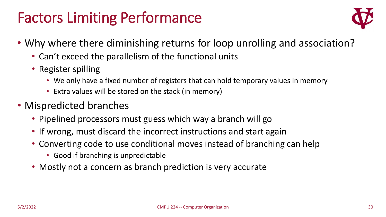### Factors Limiting Performance



- Why where there diminishing returns for loop unrolling and association?
	- Can't exceed the parallelism of the functional units
	- Register spilling
		- We only have a fixed number of registers that can hold temporary values in memory
		- Extra values will be stored on the stack (in memory)
- Mispredicted branches
	- Pipelined processors must guess which way a branch will go
	- If wrong, must discard the incorrect instructions and start again
	- Converting code to use conditional moves instead of branching can help
		- Good if branching is unpredictable
	- Mostly not a concern as branch prediction is very accurate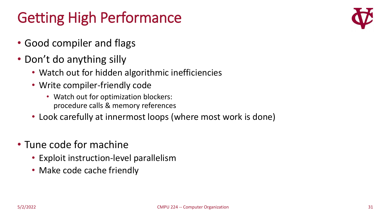# Getting High Performance

- Good compiler and flags
- Don't do anything silly
	- Watch out for hidden algorithmic inefficiencies
	- Write compiler-friendly code
		- Watch out for optimization blockers: procedure calls & memory references
	- Look carefully at innermost loops (where most work is done)
- Tune code for machine
	- Exploit instruction-level parallelism
	- Make code cache friendly